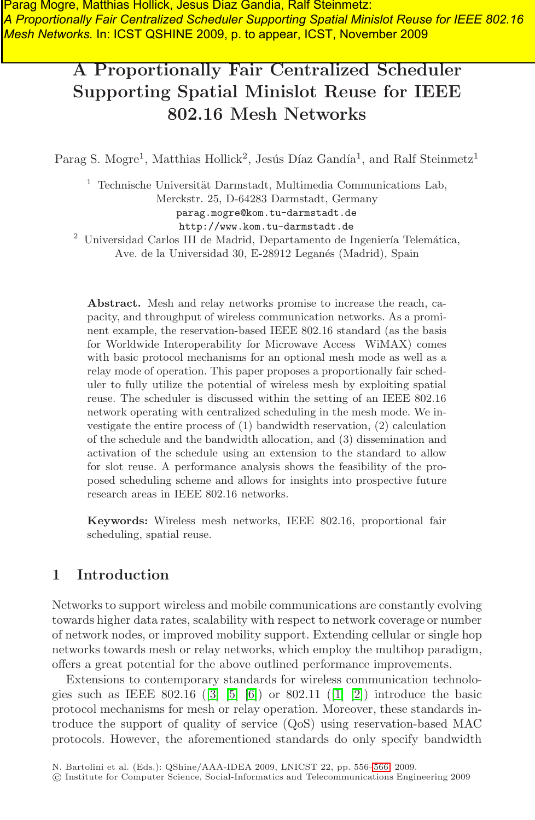Parag Mogre, Matthias Hollick, Jesus Diaz Gandia, Ralf Steinmetz: *A Proportionally Fair Centralized Scheduler Supporting Spatial Minislot Reuse for IEEE 802.16 Mesh Networks.* In: ICST QSHINE 2009, p. to appear, ICST, November 2009

# **A Proportionally Fair Centralized Scheduler Supporting Spatial Minislot Reuse for IEEE 802.16 Mesh Networks**

Parag S. Mogre<sup>1</sup>, Matthias Hollick<sup>2</sup>, Jesús Díaz Gandía<sup>1</sup>, and Ralf Steinmetz<sup>1</sup>

 $^{\rm 1}$  Technische Universität Darmstadt, Multimedia Communications Lab, Merckstr. 25, D-64283 Darmstadt, Germany parag.mogre@kom.tu-darmstadt.de

http://www.kom.tu-darmstadt.de

 $^{\rm 2}$ Universidad Carlos III de Madrid, Departamento de Ingeniería Telemática, Ave. de la Universidad 30, E-28912 Leganés (Madrid), Spain

**Abstract.** Mesh and relay networks promise to increase the reach, capacity, and throughput of wireless communication networks. As a prominent example, the reservation-based IEEE 802.16 standard (as the basis for Worldwide Interoperability for Microwave Access WiMAX) comes with basic protocol mechanisms for an optional mesh mode as well as a relay mode of operation. This paper proposes a proportionally fair scheduler to fully utilize the potential of wireless mesh by exploiting spatial reuse. The scheduler is discussed within the setting of an IEEE 802.16 network operating with centralized scheduling in the mesh mode. We investigate the entire process of (1) bandwidth reservation, (2) calculation of the schedule and the bandwidth allocation, and (3) dissemination and activation of the schedule using an extension to the standard to allow for slot reuse. A performance analysis shows the feasibility of the proposed scheduling scheme and allows for insights into prospective future research areas in IEEE 802.16 networks.

**Keywords:** Wireless mesh networks, IEEE 802.16, proportional fair scheduling, spatial reuse.

## **1 Intr[od](#page-10-0)[uc](#page-10-1)[tio](#page-10-2)n**

Networks to support wireless and mobile communications are constantly evolving towards higher data rates, scalability with respect to network coverage or number of network nodes, or improved mobility support. Extending cellular or single hop networks towards mesh or relay network[s, wh](#page-10-3)ich employ the multihop paradigm, offers a great potential for the above outlined performance improvements.

Extensions to contemporary standards for wireless communication technologies such as IEEE  $802.16$  ([3] [5] [6]) or  $802.11$  ([1] [2]) introduce the basic protocol mechanisms for mesh or relay operation. Moreover, these standards introduce the support of quality of service (QoS) using reservation-based MAC protocols. However, the aforementioned standards do only specify bandwidth

N. Bartolini et al. (Eds.): QShine/AAA-IDEA 2009, LNICST 22, pp. 556–566, 2009.

c Institute for Computer Science, Social-Informatics and Telecommunications Engineering 2009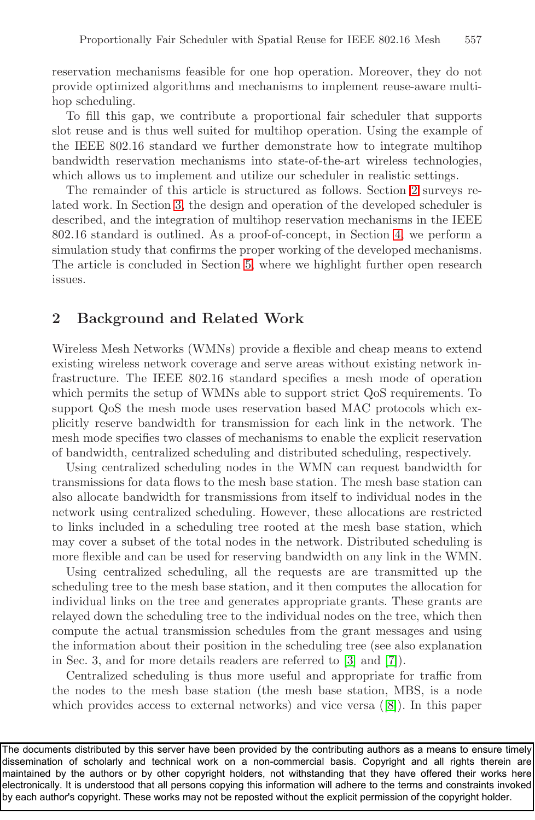reservation mechanisms feasible for one hop o[pe](#page-1-0)ration. Moreover, they do not pro[vid](#page-2-0)e optimized algorithms and mechanisms to implement reuse-aware multihop scheduling.

To fill this gap, we contribute a propor[tio](#page-7-0)nal fair scheduler that supports slot reuse and is thus well suited for multihop operation. Using the example of the IEEE 802.1[6 s](#page-10-4)tandard we further demonstrate how to integrate multihop bandwidth reservation mechanisms into state-of-the-art wireless technologies, which allows us to implement and utilize our scheduler in realistic settings.

<span id="page-1-0"></span>The remainder of this article is structured as follows. Section 2 surveys related work. In Section 3, the design and operation of the developed scheduler is described, and the integration of multihop reservation mechanisms in the IEEE 802.16 standard is outlined. As a proof-of-concept, in Section 4, we perform a simulation study that confirms the proper working of the developed mechanisms. The article is concluded in Section 5, where we highlight further open research issues.

## **2 Background and Related Work**

Wireless Mesh Networks (WMNs) provide a flexible and cheap means to extend existing wireless network coverage and serve areas without existing network infrastructure. The IEEE 802.16 standard specifies a mesh mode of operation which permits the setup of WMNs able to support strict QoS requirements. To support QoS the mesh mode uses reservation based MAC protocols which explicitly reserve bandwidth for transmission for each link in the network. The mesh mode specifies two classes of mechanisms to enable the explicit reservation of bandwidth, centralized scheduling and distributed scheduling, respectively.

Using centralized scheduling nodes in the WMN can request bandwidth for transmissions for data flows to the mesh base station. The mesh base station can also allocate bandwidth for transmissions from itself to individual nodes in the network using centralized scheduling. However, these allocations are restricted to links included in a scheduling tree rooted at the mesh base station, which may cover a subset of the total no[des](#page-10-0) in t[he](#page-10-5) network. Distributed scheduling is more flexible and can be used for reserving bandwidth on any link in the WMN.

Using centralized scheduling, all the requests are are transmitted up the scheduling tree to the mesh base station, a[nd](#page-10-6) it then computes the allocation for individual links on the tree and generates appropriate grants. These grants are relayed down the scheduling tree to the individual nodes on the tree, which then compute the actual transmission schedules from the grant messages and using the information about their position in the scheduling tree (see also explanation in Sec. 3, and for more details readers are referred to [3] and [7]).

Centralized scheduling is thus more useful and appropriate for traffic from the nodes to the mesh base station (the mesh base station, MBS, is a node which provides access to external networks) and vice versa ([8]). In this paper

The documents distributed by this server have been provided by the contributing authors as a means to ensure timely dissemination of scholarly and technical work on a non-commercial basis. Copyright and all rights therein are maintained by the authors or by other copyright holders, not withstanding that they have offered their works here electronically. It is understood that all persons copying this information will adhere to the terms and constraints invoked by each author's copyright. These works may not be reposted without the explicit permission of the copyright holder.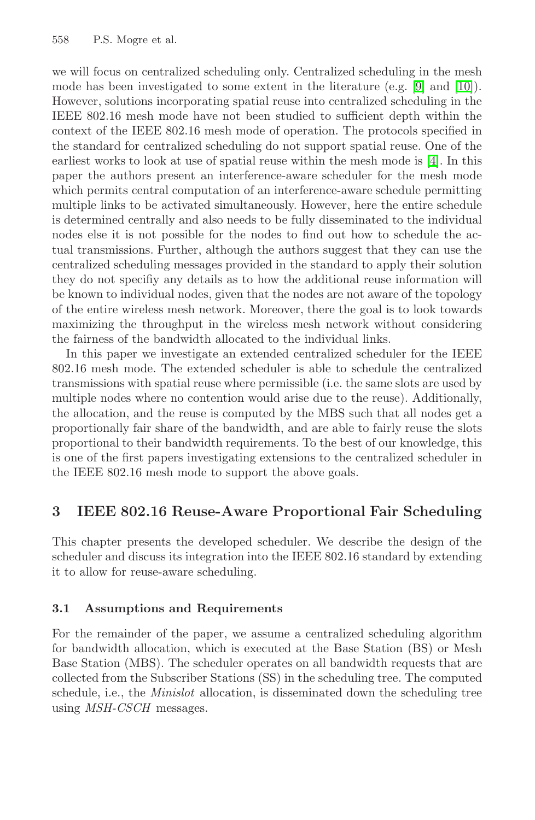we will focus on centralized scheduling only. Centralized scheduling in the mesh mode has been investigated to some extent in the literature (e.g. [9] and [10]). However, solutions incorporating spatial reuse into centralized scheduling in the IEEE 802.16 mesh mode have not been studied to sufficient depth within the context of the IEEE 802.16 mesh mode of operation. The protocols specified in the standard for centralized scheduling do not support spatial reuse. One of the earliest works to look at use of spatial reuse within the mesh mode is [4]. In this paper the authors present an interference-aware scheduler for the mesh mode which permits central computation of an interference-aware schedule permitting multiple links to be activated simultaneously. However, here the entire schedule is determined centrally and also needs to be fully disseminated to the individual nodes else it is not possible for the nodes to find out how to schedule the actual transmissions. Further, although the authors suggest that they can use the centralized scheduling messages provided in the standard to apply their solution they do not specifiy any details as to how the additional reuse information will be known to individual nodes, given that the nodes are not aware of the topology of the entire wireless mesh network. Moreover, there the goal is to look towards maximizing the throughput in the wireless mesh network without considering the fairness of the bandwidth allocated to the individual links.

<span id="page-2-0"></span>In this paper we investigate an extended centralized scheduler for the IEEE 802.16 mesh mode. The extended scheduler is able to schedule the centralized transmissions with spatial reuse where permissible (i.e. the same slots are used by multiple nodes where no contention would arise due to the reuse). Additionally, the allocation, and the reuse is computed by the MBS such that all nodes get a proportionally fair share of the bandwidth, and are able to fairly reuse the slots proportional to their bandwidth requirements. To the best of our knowledge, this is one of the first papers investigating extensions to the centralized scheduler in the IEEE 802.16 mesh mode to support the above goals.

## **3 IEEE 802.16 Reuse-Aware Proportional Fair Scheduling**

This chapter presents the developed scheduler. We describe the design of the scheduler and discuss its integration into the IEEE 802.16 standard by extending it to allow for reuse-aware scheduling.

#### **3.1 Assumptions and Requirements**

For the remainder of the paper, we assume a centralized scheduling algorithm for bandwidth allocation, which is executed at the Base Station (BS) or Mesh Base Station (MBS). The scheduler operates on all bandwidth requests that are collected from the Subscriber Stations (SS) in the scheduling tree. The computed schedule, i.e., the *Minislot* allocation, is disseminated down the scheduling tree using *MSH-CSCH* messages.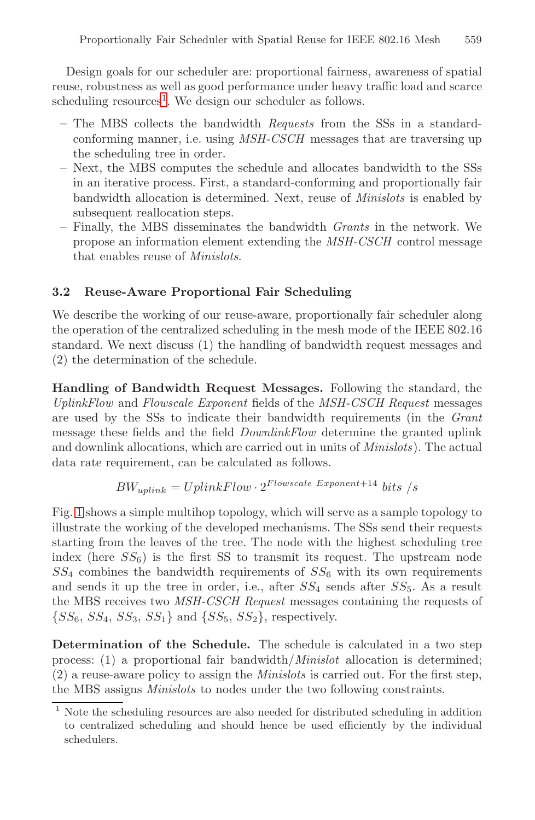Design goals for our scheduler are: proportional fairness, awareness of spatial reuse, robustness as well as good performance under heavy traffic load and scarce scheduling resources<sup>1</sup>. We design our scheduler as follows.

- **–** The MBS collects the bandwidth *Requests* from the SSs in a standardconforming manner, i.e. using *MSH-CSCH* messages that are traversing up the scheduling tree in order.
- **–** Next, the MBS computes the schedule and allocates bandwidth to the SSs in an iterative process. First, a standard-conforming and proportionally fair bandwidth allocation is determined. Next, reuse of *Minislots* is enabled by subsequent reallocation steps.
- **–** Finally, the MBS disseminates the bandwidth *Grants* in the network. We propose an information element extending the *MSH-CSCH* control message that enables reuse of *Minislots*.

#### **3.2 Reuse-Aware Proportional Fair Scheduling**

We describe the working of our reuse-aware, proportionally fair scheduler along the operation of the centralized scheduling in the mesh mode of the IEEE 802.16 standard. We next discuss (1) the handling of bandwidth request messages and (2) the determination of the schedule.

**Handling of Bandwidth Request Messages.** Following the standard, the *UplinkFlow* and *Flowscale Exponent* fields of the *MSH-CSCH Request* messages are used by the SSs to indicate their bandwidth requirements (in the *Grant* message these fields and the field *DownlinkFlow* determine the granted uplink and downlink allocations, which are carried out in units of *Minislots*). The actual data rate requirement, can be calculated as follows.

 $BW_{unlink} = UplinkFlow \cdot 2^{Flowscale\ Exponent+14} \; bits \; /s$ 

Fig. 1 shows a simple multihop topology, which will serve as a sample topology to illustrate the working of the developed mechanisms. The SSs send their requests starting from the leaves of the tree. The node with the highest scheduling tree index (here  $SS_6$ ) is the first SS to transmit its request. The upstream node  $SS<sub>4</sub>$  combines the bandwidth requirements of  $SS<sub>6</sub>$  with its own requirements and sends it up the tree in order, i.e., after  $SS_4$  sends after  $SS_5$ . As a result the MBS receives two *MSH-CSCH Request* messages containing the requests of *{SS*6, *SS*4, *SS*3, *SS*1*}* and *{SS*5, *SS*2*}*, respectively.

**Determination of the Schedule.** The schedule is calculated in a two step process: (1) a proportional fair bandwidth/*Minislot* allocation is determined; (2) a reuse-aware policy to assign the *Minislots* is carried out. For the first step, the MBS assigns *Minislots* to nodes under the two following constraints.

<sup>1</sup> Note the scheduling resources are also needed for distributed scheduling in addition to centralized scheduling and should hence be used efficiently by the individual schedulers.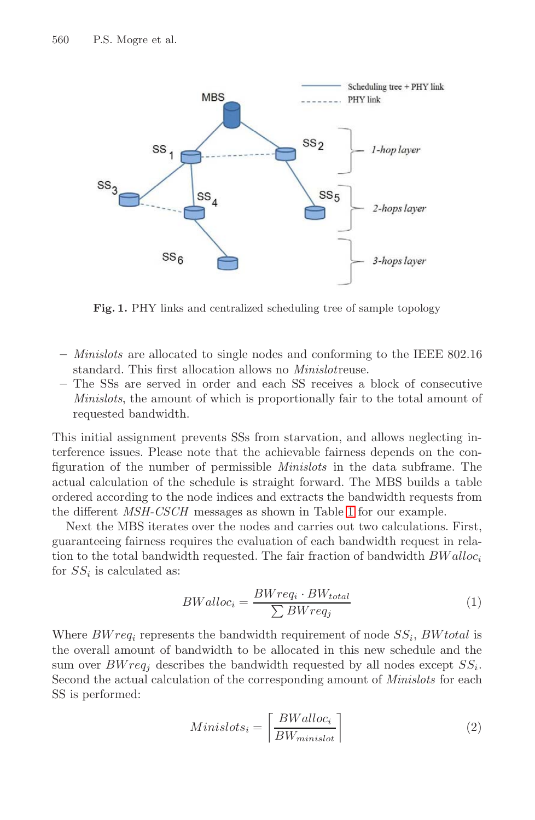

<span id="page-4-0"></span>**Fig. 1.** PHY links and centralized scheduling tree of sample topology

- **–** *Minislots* are allocated to single nodes and conforming to the IEEE 802.16 standard. This first allocation allows no *Minislot*reuse.
- **–** The SSs are served in order and each SS receives a block of consecutive *Minislots*, the amount of which [is](#page-5-0) proportionally fair to the total amount of requested bandwidth.

This initial assignment prevents SSs from starvation, and allows neglecting interference issues. Please note that the achievable fairness depends on the configuration of the number of permissible *Minislots* in the data subframe. The actual calculation of the schedule is straight forward. The MBS builds a table ordered according to the node indices and extracts the bandwidth requests from the different *MSH-CSCH* messages as shown in Table 1 for our example.

Next the MBS iterates over the nodes and carries out two calculations. First, guaranteeing fairness requires the evaluation of each bandwidth request in relation to the total bandwidth requested. The fair fraction of bandwidth *BW alloc<sup>i</sup>* for  $SS_i$  is calculated as:

$$
BWalloc_i = \frac{BWreq_i \cdot BW_{total}}{\sum BWreq_j}
$$
\n<sup>(1)</sup>

Where *BW req<sup>i</sup>* represents the bandwidth requirement of node *SSi*, *BW total* is the overall amount of bandwidth to be allocated in this new schedule and the sum over  $BWreq_j$  describes the bandwidth requested by all nodes except  $SS_i$ . Second the actual calculation of the corresponding amount of *Minislots* for each SS is performed:

$$
Minis lots_i = \left\lceil \frac{BWalloc_i}{BW_{minislot}} \right\rceil \tag{2}
$$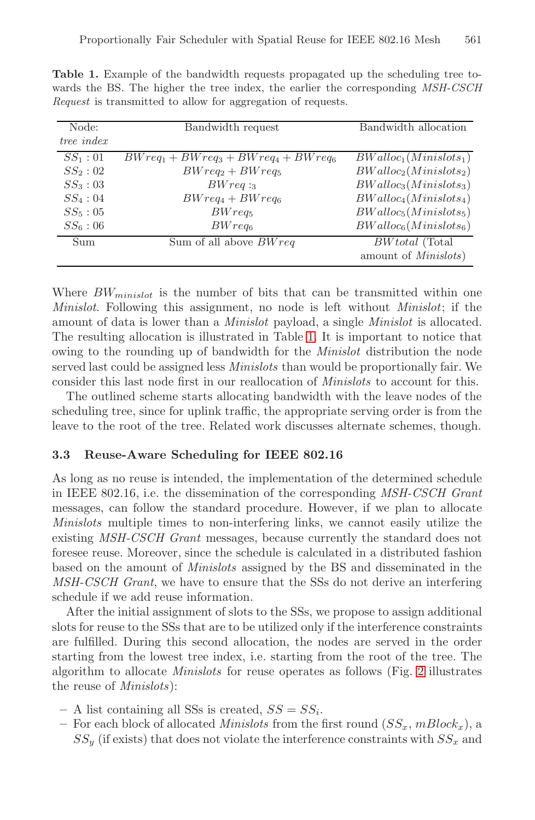<span id="page-5-0"></span>**Table 1.** Example of the bandwidth requests propagated up the scheduling tree towards the BS. The higher the tree index, the earlier the corresponding *MSH-CSCH Request* is transmitted to allow for aggregation of requests.

| Node:             | Bandwidth request                       | Bandwidth allocation         |
|-------------------|-----------------------------------------|------------------------------|
| <i>tree index</i> |                                         |                              |
| $SS_1:01$         | $BWreq_1 + BWreq_3 + BWreq_4 + BWreq_6$ | $BWalloc1(Minis lots1)$      |
| $SS_2:02$         | $BWreq_2 + BWreq_5$                     | $BWalloc_2(Minislots_2)$     |
| $SS_3:03$         | BWreq:3                                 | $BWalloc3(Minislots3)$       |
| $SS_4:04$         | $BWreq_4 + BWreq_6$                     | $BWalloc_4(Minis lots_4)$    |
| $SS_5:05$         | $BWreq_5$                               | $BWalloc5(Minis lots5)$      |
| $SS_6:06$         | BWreq <sub>6</sub>                      | $BWalloc6(Minislots6)$       |
| Sum               | Sum of all above <i>BWreq</i>           | <i>BWtotal</i> (Total)       |
|                   |                                         | amount of <i>Minislots</i> ) |

Where *BWminislot* is the number of bits that can be transmitted within one *Minislot*. Following this assignment, no node is left without *Minislot*; if the amount of data is lower than a *Minislot* payload, a single *Minislot* is allocated. The resulting allocation is illustrated in Table 1. It is important to notice that owing to the rounding up of bandwidth for the *Minislot* distribution the node served last could be assigned less *Minislots* than would be proportionally fair. We consider this last node first in our reallocation of *Minislots* to account for this.

The outlined scheme starts allocating bandwidth with the leave nodes of the scheduling tree, since for uplink traffic, the appropriate serving order is from the leave to the root of the tree. Related work discusses alternate schemes, though.

#### **3.3 Reuse-Aware Scheduling for IEEE 802.16**

As long as no reuse is intended, the implementation of the determined schedule in IEEE 802.16, i.e. the dissemination of the corresponding *MSH-CSCH Grant* messages, can follow the standard procedure. However, if we plan to allocate *Minislots* multiple times to non-interfering links, we cannot easily utilize the existing *MSH-CSCH Grant* messages, because currently the standard does not foresee reuse. Moreover, since the schedule is cal[cu](#page-6-0)lated in a distributed fashion based on the amount of *Minislots* assigned by the BS and disseminated in the *MSH-CSCH Grant*, we have to ensure that the SSs do not derive an interfering schedule if we add reuse information.

After the initial assignment of slots to the SSs, we propose to assign additional slots for reuse to the SSs that are to be utilized only if the interference constraints are fulfilled. During this second allocation, the nodes are served in the order starting from the lowest tree index, i.e. starting from the root of the tree. The algorithm to allocate *Minislots* for reuse operates as follows (Fig. 2 illustrates the reuse of *Minislots*):

- **–** A list containing all SSs is created, *SS* = *SSi*.
- **–** For each block of allocated *Minislots* from the first round (*SSx*, *mBlockx*), a  $SS_y$  (if exists) that does not violate the interference constraints with  $SS_x$  and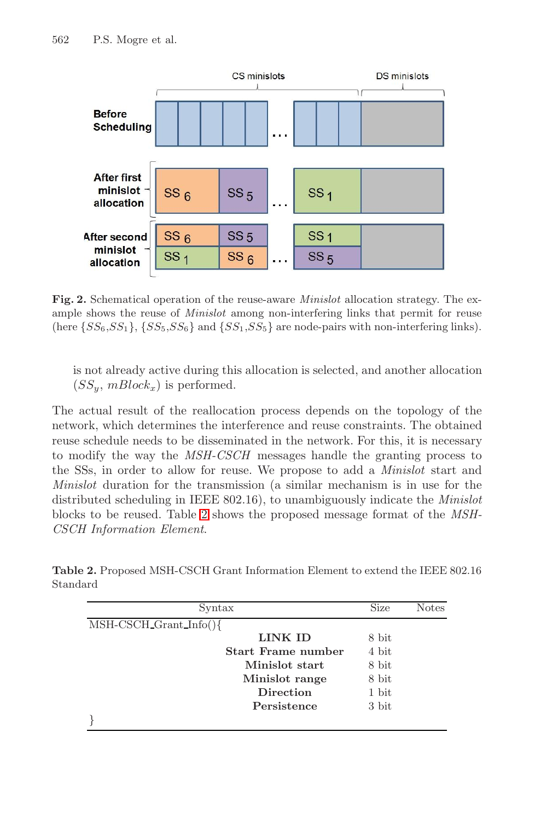

<span id="page-6-0"></span>**Fig. 2.** Schematical operation of the reuse-aware *Minislot* allocation strategy. The example shows the reuse of *Minislot* among non-interfering links that permit for reuse (here  $\{SS_6, SS_1\}$ ,  $\{SS_5, SS_6\}$  and  $\{SS_1, SS_5\}$  are node-pairs with non-interfering links).

is not already active during this allocation is selected, and another allocation  $(SS_y, mBlock_x)$  is performed.

<span id="page-6-1"></span>The act[ua](#page-6-1)l result of the reallocation process depends on the topology of the network, which determines the interference and reuse constraints. The obtained reuse schedule needs to be disseminated in the network. For this, it is necessary to modify the way the *MSH-CSCH* messages handle the granting process to the SSs, in order to allow for reuse. We propose to add a *Minislot* start and *Minislot* duration for the transmission (a similar mechanism is in use for the distributed scheduling in IEEE 802.16), to unambiguously indicate the *Minislot* blocks to be reused. Table 2 shows the proposed message format of the *MSH-CSCH Information Element*.

| $\text{Svntax}$         |                    | Size  | <b>Notes</b> |
|-------------------------|--------------------|-------|--------------|
| $MSH-CSCH_Grant_Info()$ |                    |       |              |
|                         | <b>LINK ID</b>     | 8 bit |              |
|                         | Start Frame number | 4 bit |              |
|                         | Minislot start     | 8 bit |              |
|                         | Minislot range     | 8 bit |              |
|                         | <b>Direction</b>   | 1 bit |              |
|                         | Persistence        | 3 bit |              |
|                         |                    |       |              |

**Table 2.** Proposed MSH-CSCH Grant Information Element to extend the IEEE 802.16 Standard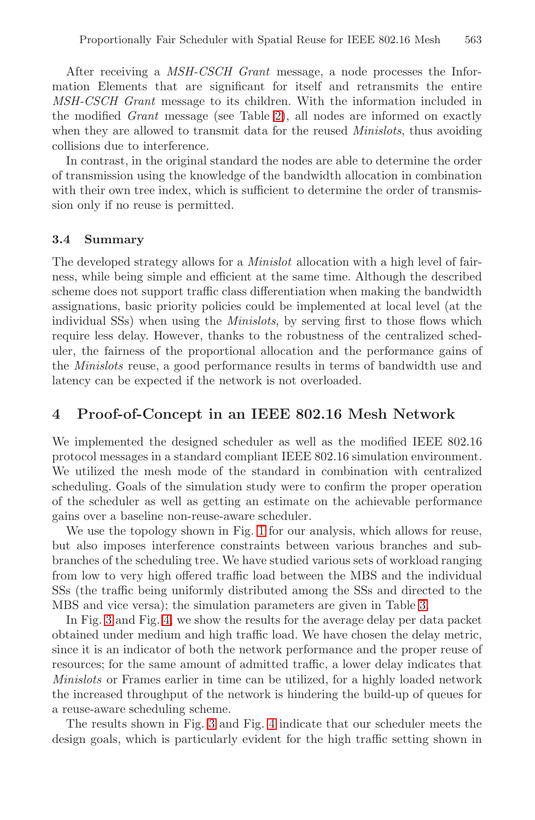After receiving a *MSH-CSCH Grant* message, a node processes the Information Elements that are significant for itself and retransmits the entire *MSH-CSCH Grant* message to its children. With the information included in the modified *Grant* message (see Table 2), all nodes are informed on exactly when they are allowed to transmit data for the reused *Minislots*, thus avoiding collisions due to interference.

In contrast, in the original standard the nodes are able to determine the order of transmission using the knowledge of the bandwidth allocation in combination with their own tree index, which is sufficient to determine the order of transmission only if no reuse is permitted.

#### **3.4 Summary**

<span id="page-7-0"></span>The developed strategy allows for a *Minislot* allocation with a high level of fairness, while being simple and efficient at the same time. Although the described scheme does not support traffic class differentiation when making the bandwidth assignations, basic priority policies could be implemented at local level (at the individual SSs) when using the *Minislots*, by serving first to those flows which require less delay. However, thanks to the robustness of the centralized scheduler, the fairness of the proportional allocation and the performance gains of the *Minislots* reuse, a good performance results in terms of bandwidth use and latency can be expected if the network is not overloaded.

### **4 Proof-of-C[on](#page-4-0)cept in an IEEE 802.16 Mesh Network**

We implemented the designed scheduler as well as the modified IEEE 802.16 protocol messages in a standard compliant IEEE 802.16 simulation environment. We utilized the mesh mode of the standard in combination with centralized scheduling. Goals of the simulation study were t[o c](#page-8-0)onfirm the proper operation o[f t](#page-9-0)he scheduler as well as getting an estimate on the achievable performance gains over a baseline non-reuse-aware scheduler.

We use the topology shown in Fig. 1 for our analysis, which allows for reuse, but also imposes interference constraints between various branches and subbranches of the scheduling tree. We have studied various sets of workload ranging from low to very high offered traffic load between the MBS and the individual SSs (the traffic being uniformly distributed among the SSs and directed to the MBS and [vi](#page-8-1)ce versa[\); t](#page-9-0)he simulation parameters are given in Table 3.

In Fig. 3 and Fig. 4, we show the results for the average delay per data packet obtained under medium and high traffic load. We have chosen the delay metric, since it is an indicator of both the network performance and the proper reuse of resources; for the same amount of admitted traffic, a lower delay indicates that *Minislots* or Frames earlier in time can be utilized, for a highly loaded network the increased throughput of the network is hindering the build-up of queues for a reuse-aware scheduling scheme.

The results shown in Fig. 3 and Fig. 4 indicate that our scheduler meets the design goals, which is particularly evident for the high traffic setting shown in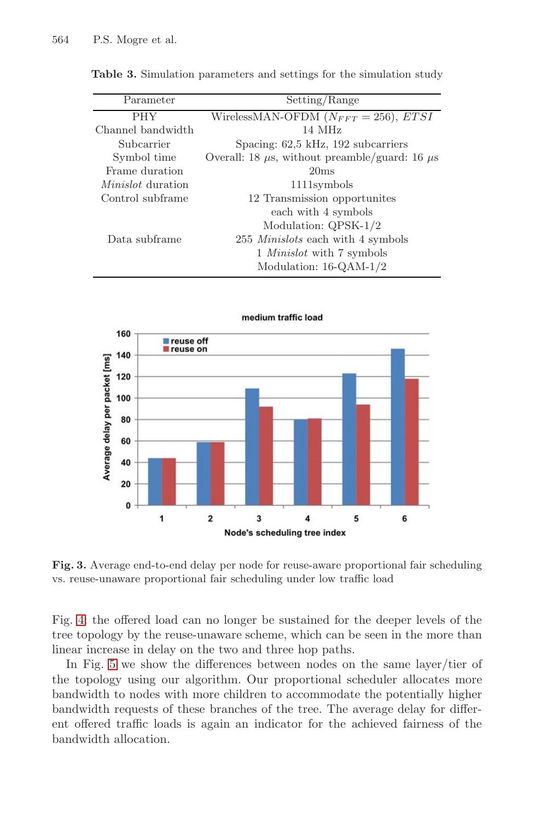<span id="page-8-0"></span>

| Table 3. Simulation parameters and settings for the simulation study |  |  |  |  |  |  |  |
|----------------------------------------------------------------------|--|--|--|--|--|--|--|
|----------------------------------------------------------------------|--|--|--|--|--|--|--|

| Parameter                | Setting/Range                                           |  |  |
|--------------------------|---------------------------------------------------------|--|--|
| <b>PHY</b>               | WirelessMAN-OFDM ( $N_{FFT} = 256$ ), $ETSI$            |  |  |
| Channel bandwidth        | $14$ MHz                                                |  |  |
| Subcarrier               | Spacing: 62,5 kHz, 192 subcarriers                      |  |  |
| Symbol time              | Overall: 18 $\mu$ s, without preamble/guard: 16 $\mu$ s |  |  |
| Frame duration           | 20ms                                                    |  |  |
| <i>Minislot</i> duration | 1111symbols                                             |  |  |
| Control subframe         | 12 Transmission opportunites                            |  |  |
|                          | each with 4 symbols                                     |  |  |
|                          | Modulation: QPSK-1/2                                    |  |  |
| Data subframe            | 255 <i>Minislots</i> each with 4 symbols                |  |  |
|                          | 1 <i>Minislot</i> with 7 symbols                        |  |  |
|                          | Modulation: $16-QAM-1/2$                                |  |  |



<span id="page-8-1"></span>**Fig. 3.** Average end-to-end delay per node for reuse-aware proportional fair scheduling vs. reuse-unaware proportional fair scheduling under low traffic load

Fig. 4: the offered load can no longer be sustained for the deeper levels of the tree topology by the reuse-unaware scheme, which can be seen in the more than linear increase in delay on the two and three hop paths.

In Fig. 5 we show the differences between nodes on the same layer/tier of the topology using our algorithm. Our proportional scheduler allocates more bandwidth to nodes with more children to accommodate the potentially higher bandwidth requests of these branches of the tree. The average delay for different offered traffic loads is again an indicator for the achieved fairness of the bandwidth allocation.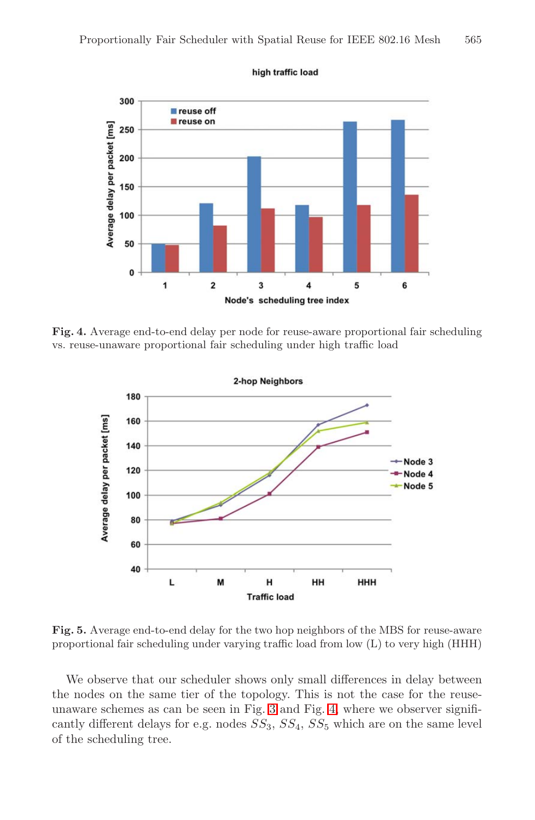

Proportionally Fair Scheduler with Spatial Reuse for IEEE 802.16 Mesh 565

high traffic load

<span id="page-9-0"></span>**Fig. 4.** Average end-to-end delay per node for reuse-aware proportional fair scheduling vs. reuse-unaware proportional fair scheduling under high traffic load



**Fig. 5.** Average end-to-end delay for the two hop neighbors of the MBS for reuse-aware proportional fair scheduling under varying traffic load from low (L) to very high (HHH)

We observe that our scheduler shows only small differences in delay between the nodes on the same tier of the topology. This is not the case for the reuseunaware schemes as can be seen in Fig. 3 and Fig. 4, where we observer significantly different delays for e.g. nodes  $SS_3$ ,  $SS_4$ ,  $SS_5$  which are on the same level of the scheduling tree.